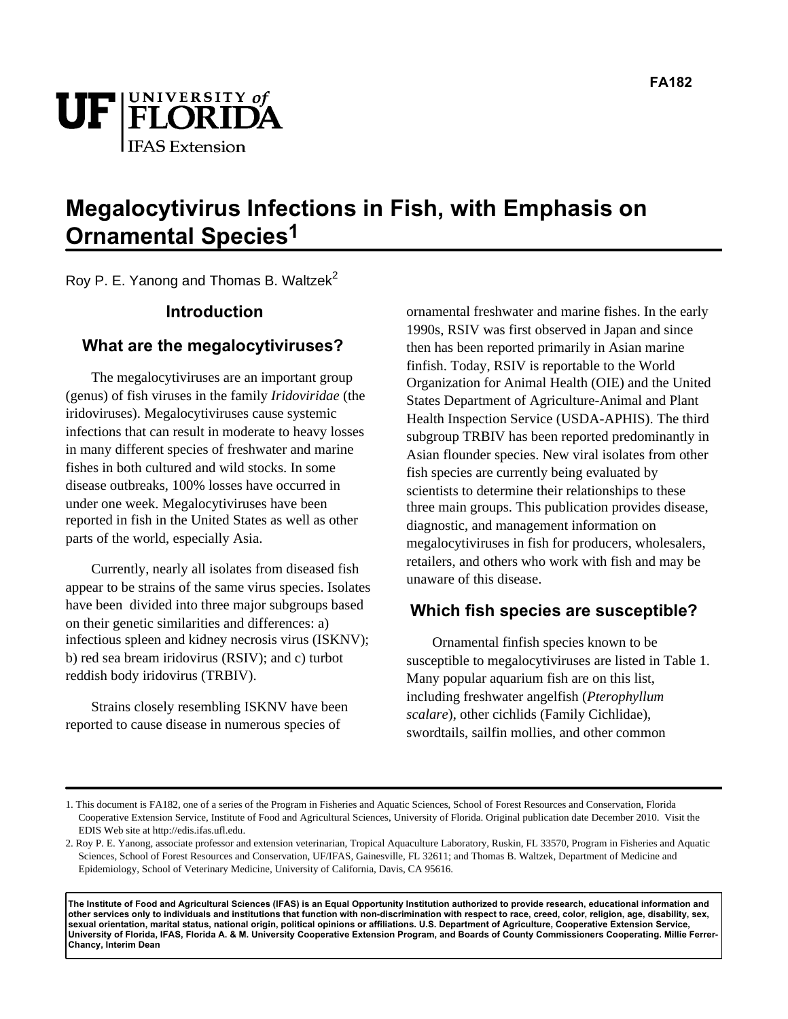

# **Megalocytivirus Infections in Fish, with Emphasis on Ornamental Species1**

Roy P. E. Yanong and Thomas B. Waltzek<sup>2</sup>

#### **Introduction**

#### **What are the megalocytiviruses?**

The megalocytiviruses are an important group (genus) of fish viruses in the family *Iridoviridae* (the iridoviruses). Megalocytiviruses cause systemic infections that can result in moderate to heavy losses in many different species of freshwater and marine fishes in both cultured and wild stocks. In some disease outbreaks, 100% losses have occurred in under one week. Megalocytiviruses have been reported in fish in the United States as well as other parts of the world, especially Asia.

Currently, nearly all isolates from diseased fish appear to be strains of the same virus species. Isolates have been divided into three major subgroups based on their genetic similarities and differences: a) infectious spleen and kidney necrosis virus (ISKNV); b) red sea bream iridovirus (RSIV); and c) turbot reddish body iridovirus (TRBIV).

Strains closely resembling ISKNV have been reported to cause disease in numerous species of

ornamental freshwater and marine fishes. In the early 1990s, RSIV was first observed in Japan and since then has been reported primarily in Asian marine finfish. Today, RSIV is reportable to the World Organization for Animal Health (OIE) and the United States Department of Agriculture-Animal and Plant Health Inspection Service (USDA-APHIS). The third subgroup TRBIV has been reported predominantly in Asian flounder species. New viral isolates from other fish species are currently being evaluated by scientists to determine their relationships to these three main groups. This publication provides disease, diagnostic, and management information on megalocytiviruses in fish for producers, wholesalers, retailers, and others who work with fish and may be unaware of this disease.

#### **Which fish species are susceptible?**

Ornamental finfish species known to be susceptible to megalocytiviruses are listed in Table 1. Many popular aquarium fish are on this list, including freshwater angelfish (*Pterophyllum scalare*), other cichlids (Family Cichlidae), swordtails, sailfin mollies, and other common

**The Institute of Food and Agricultural Sciences (IFAS) is an Equal Opportunity Institution authorized to provide research, educational information and other services only to individuals and institutions that function with non-discrimination with respect to race, creed, color, religion, age, disability, sex, sexual orientation, marital status, national origin, political opinions or affiliations. U.S. Department of Agriculture, Cooperative Extension Service, University of Florida, IFAS, Florida A. & M. University Cooperative Extension Program, and Boards of County Commissioners Cooperating. Millie Ferrer-Chancy, Interim Dean**

<sup>1.</sup> This document is FA182, one of a series of the Program in Fisheries and Aquatic Sciences, School of Forest Resources and Conservation, Florida Cooperative Extension Service, Institute of Food and Agricultural Sciences, University of Florida. Original publication date December 2010. Visit the EDIS Web site at http://edis.ifas.ufl.edu.

<sup>2.</sup> Roy P. E. Yanong, associate professor and extension veterinarian, Tropical Aquaculture Laboratory, Ruskin, FL 33570, Program in Fisheries and Aquatic Sciences, School of Forest Resources and Conservation, UF/IFAS, Gainesville, FL 32611; and Thomas B. Waltzek, Department of Medicine and Epidemiology, School of Veterinary Medicine, University of California, Davis, CA 95616.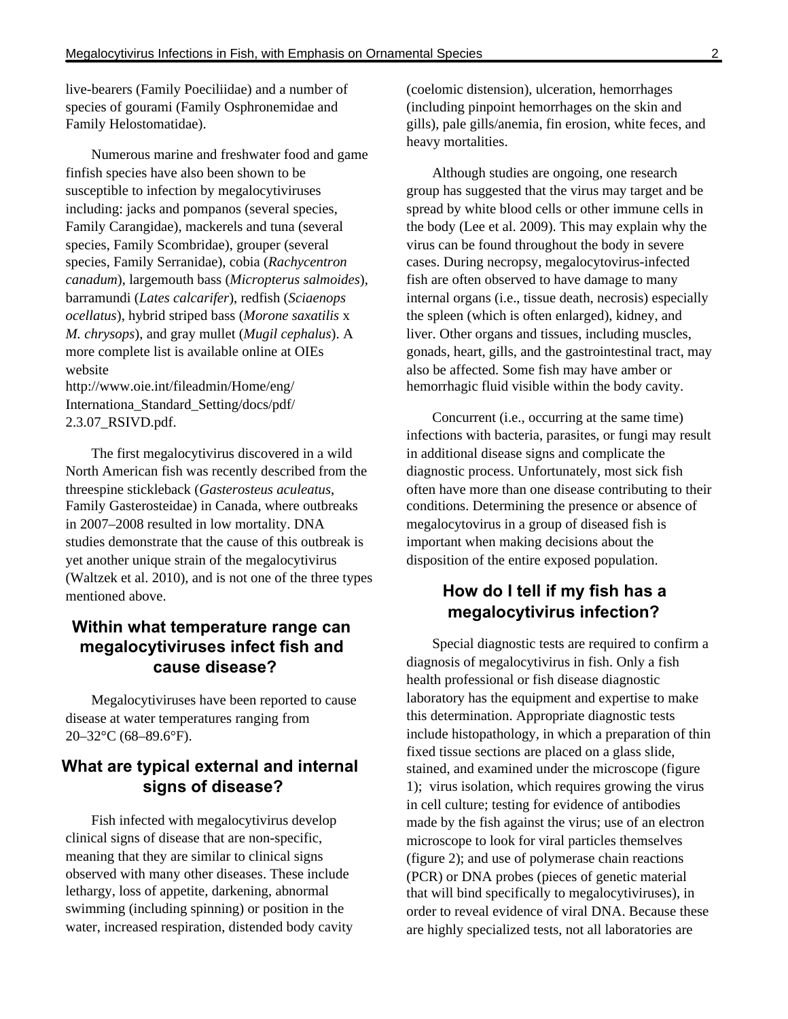live-bearers (Family Poeciliidae) and a number of species of gourami (Family Osphronemidae and Family Helostomatidae).

Numerous marine and freshwater food and game finfish species have also been shown to be susceptible to infection by megalocytiviruses including: jacks and pompanos (several species, Family Carangidae), mackerels and tuna (several species, Family Scombridae), grouper (several species, Family Serranidae), cobia (*Rachycentron canadum*), largemouth bass (*Micropterus salmoides*), barramundi (*Lates calcarifer*), redfish (*Sciaenops ocellatus*), hybrid striped bass (*Morone saxatilis* x *M. chrysops*), and gray mullet (*Mugil cephalus*). A more complete list is available online at OIE s website

http://www.oie.int/fileadmin/Home/eng/ Internationa\_Standard\_Setting/docs/pdf/ 2.3.07\_RSIVD.pdf.

The first megalocytivirus discovered in a wild North American fish was recently described from the threespine stickleback (*Gasterosteus aculeatus*, Family Gasterosteidae) in Canada, where outbreaks in 2007–2008 resulted in low mortality. DNA studies demonstrate that the cause of this outbreak is yet another unique strain of the megalocytivirus (Waltzek et al. 2010), and is not one of the three types mentioned above.

## **Within what temperature range can megalocytiviruses infect fish and cause disease?**

Megalocytiviruses have been reported to cause disease at water temperatures ranging from 20–32°C (68–89.6°F).

# **What are typical external and internal signs of disease?**

Fish infected with megalocytivirus develop clinical signs of disease that are non-specific, meaning that they are similar to clinical signs observed with many other diseases. These include lethargy, loss of appetite, darkening, abnormal swimming (including spinning) or position in the water, increased respiration, distended body cavity (coelomic distension), ulceration, hemorrhages (including pinpoint hemorrhages on the skin and gills), pale gills/anemia, fin erosion, white feces, and heavy mortalities.

Although studies are ongoing, one research group has suggested that the virus may target and be spread by white blood cells or other immune cells in the body (Lee et al. 2009). This may explain why the virus can be found throughout the body in severe cases. During necropsy, megalocytovirus-infected fish are often observed to have damage to many internal organs (i.e., tissue death, necrosis) especially the spleen (which is often enlarged), kidney, and liver. Other organs and tissues, including muscles, gonads, heart, gills, and the gastrointestinal tract, may also be affected. Some fish may have amber or hemorrhagic fluid visible within the body cavity.

Concurrent (i.e., occurring at the same time) infections with bacteria, parasites, or fungi may result in additional disease signs and complicate the diagnostic process. Unfortunately, most sick fish often have more than one disease contributing to their conditions. Determining the presence or absence of megalocytovirus in a group of diseased fish is important when making decisions about the disposition of the entire exposed population.

# **How do I tell if my fish has a megalocytivirus infection?**

Special diagnostic tests are required to confirm a diagnosis of megalocytivirus in fish. Only a fish health professional or fish disease diagnostic laboratory has the equipment and expertise to make this determination. Appropriate diagnostic tests include histopathology, in which a preparation of thin fixed tissue sections are placed on a glass slide, stained, and examined under the microscope (figure 1); virus isolation, which requires growing the virus in cell culture; testing for evidence of antibodies made by the fish against the virus; use of an electron microscope to look for viral particles themselves (figure 2); and use of polymerase chain reactions (PCR) or DNA probes (pieces of genetic material that will bind specifically to megalocytiviruses), in order to reveal evidence of viral DNA. Because these are highly specialized tests, not all laboratories are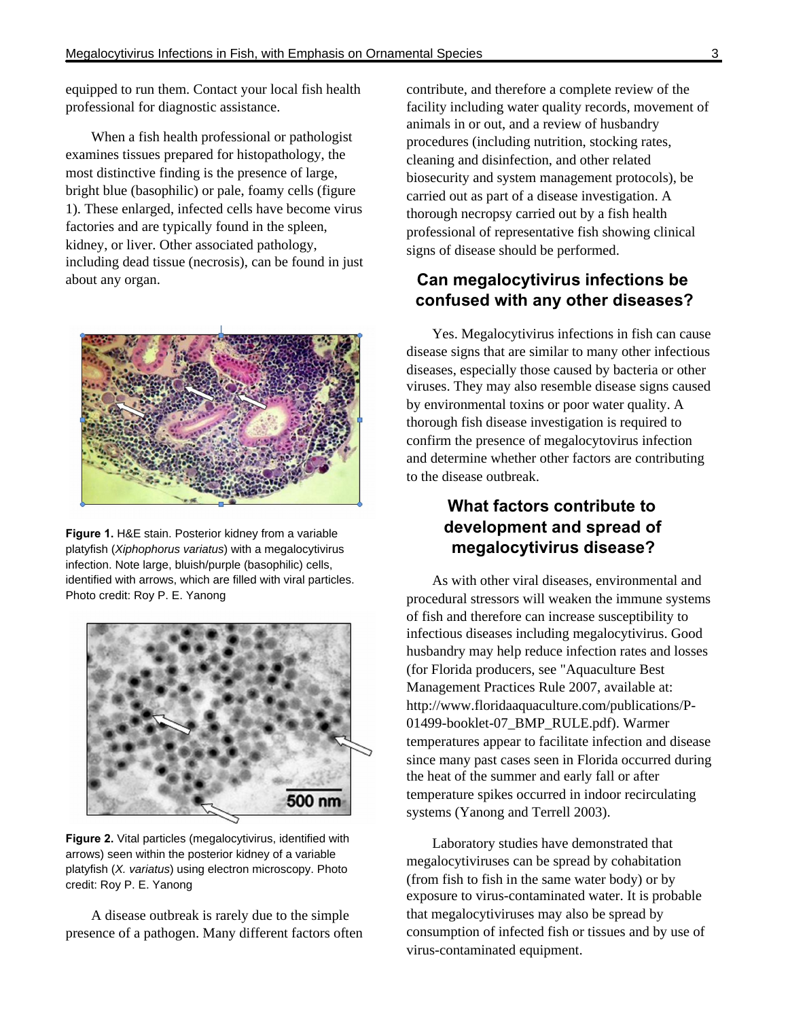equipped to run them. Contact your local fish health professional for diagnostic assistance.

When a fish health professional or pathologist examines tissues prepared for histopathology, the most distinctive finding is the presence of large, bright blue (basophilic) or pale, foamy cells (figure 1). These enlarged, infected cells have become virus factories and are typically found in the spleen, kidney, or liver. Other associated pathology, including dead tissue (necrosis), can be found in just about any organ.



**Figure 1.** H&E stain. Posterior kidney from a variable platyfish (Xiphophorus variatus) with a megalocytivirus infection. Note large, bluish/purple (basophilic) cells, identified with arrows, which are filled with viral particles. Photo credit: Roy P. E. Yanong



**Figure 2.** Vital particles (megalocytivirus, identified with arrows) seen within the posterior kidney of a variable platyfish (X. variatus) using electron microscopy. Photo credit: Roy P. E. Yanong

A disease outbreak is rarely due to the simple presence of a pathogen. Many different factors often contribute, and therefore a complete review of the facility including water quality records, movement of animals in or out, and a review of husbandry procedures (including nutrition, stocking rates, cleaning and disinfection, and other related biosecurity and system management protocols), be carried out as part of a disease investigation. A thorough necropsy carried out by a fish health professional of representative fish showing clinical signs of disease should be performed.

## **Can megalocytivirus infections be confused with any other diseases?**

Yes. Megalocytivirus infections in fish can cause disease signs that are similar to many other infectious diseases, especially those caused by bacteria or other viruses. They may also resemble disease signs caused by environmental toxins or poor water quality. A thorough fish disease investigation is required to confirm the presence of megalocytovirus infection and determine whether other factors are contributing to the disease outbreak.

# **What factors contribute to development and spread of megalocytivirus disease?**

As with other viral diseases, environmental and procedural stressors will weaken the immune systems of fish and therefore can increase susceptibility to infectious diseases including megalocytivirus. Good husbandry may help reduce infection rates and losses (for Florida producers, see "Aquaculture Best Management Practices Rule 2007, available at: http://www.floridaaquaculture.com/publications/P-01499-booklet-07\_BMP\_RULE.pdf). Warmer temperatures appear to facilitate infection and disease since many past cases seen in Florida occurred during the heat of the summer and early fall or after temperature spikes occurred in indoor recirculating systems (Yanong and Terrell 2003).

Laboratory studies have demonstrated that megalocytiviruses can be spread by cohabitation (from fish to fish in the same water body) or by exposure to virus-contaminated water. It is probable that megalocytiviruses may also be spread by consumption of infected fish or tissues and by use of virus-contaminated equipment.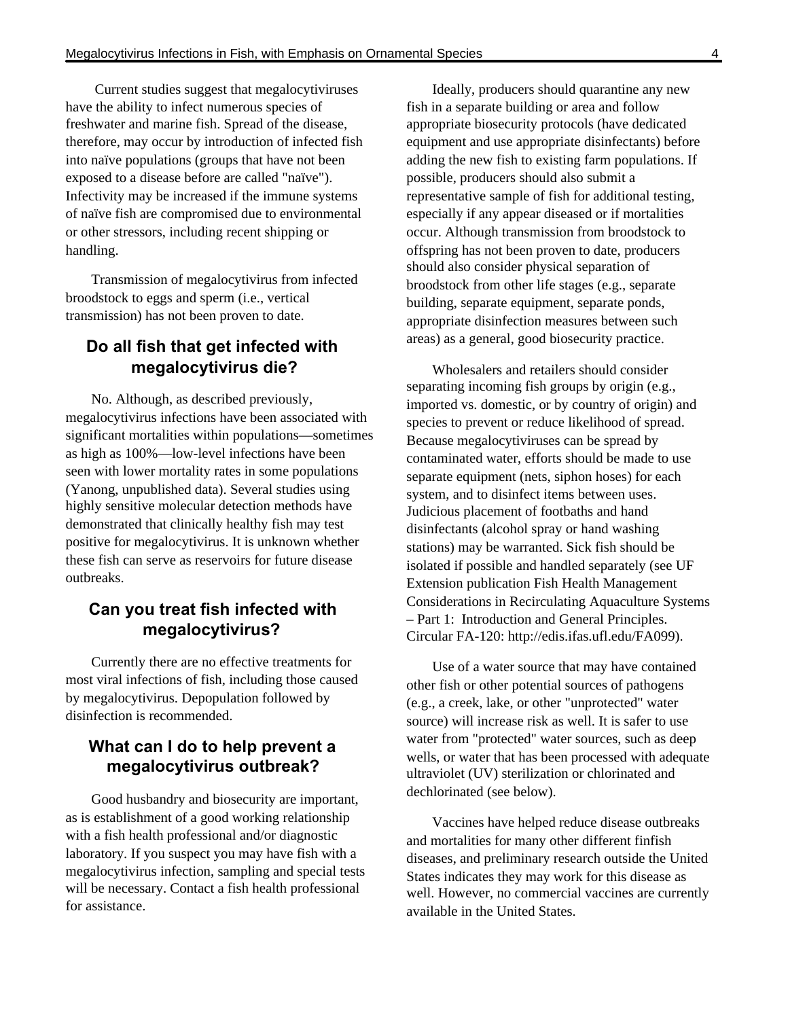Current studies suggest that megalocytiviruses have the ability to infect numerous species of freshwater and marine fish. Spread of the disease, therefore, may occur by introduction of infected fish into naïve populations (groups that have not been exposed to a disease before are called "naïve"). Infectivity may be increased if the immune systems of naïve fish are compromised due to environmental or other stressors, including recent shipping or handling.

Transmission of megalocytivirus from infected broodstock to eggs and sperm (i.e., vertical transmission) has not been proven to date.

# **Do all fish that get infected with megalocytivirus die?**

No. Although, as described previously, megalocytivirus infections have been associated with significant mortalities within populations—sometimes as high as 100%—low-level infections have been seen with lower mortality rates in some populations (Yanong, unpublished data). Several studies using highly sensitive molecular detection methods have demonstrated that clinically healthy fish may test positive for megalocytivirus. It is unknown whether these fish can serve as reservoirs for future disease outbreaks.

# **Can you treat fish infected with megalocytivirus?**

Currently there are no effective treatments for most viral infections of fish, including those caused by megalocytivirus. Depopulation followed by disinfection is recommended.

#### **What can I do to help prevent a megalocytivirus outbreak?**

Good husbandry and biosecurity are important, as is establishment of a good working relationship with a fish health professional and/or diagnostic laboratory. If you suspect you may have fish with a megalocytivirus infection, sampling and special tests will be necessary. Contact a fish health professional for assistance.

Ideally, producers should quarantine any new fish in a separate building or area and follow appropriate biosecurity protocols (have dedicated equipment and use appropriate disinfectants) before adding the new fish to existing farm populations. If possible, producers should also submit a representative sample of fish for additional testing, especially if any appear diseased or if mortalities occur. Although transmission from broodstock to offspring has not been proven to date, producers should also consider physical separation of broodstock from other life stages (e.g., separate building, separate equipment, separate ponds, appropriate disinfection measures between such areas) as a general, good biosecurity practice.

Wholesalers and retailers should consider separating incoming fish groups by origin (e.g., imported vs. domestic, or by country of origin) and species to prevent or reduce likelihood of spread. Because megalocytiviruses can be spread by contaminated water, efforts should be made to use separate equipment (nets, siphon hoses) for each system, and to disinfect items between uses. Judicious placement of footbaths and hand disinfectants (alcohol spray or hand washing stations) may be warranted. Sick fish should be isolated if possible and handled separately (see UF Extension publication Fish Health Management Considerations in Recirculating Aquaculture Systems – Part 1: Introduction and General Principles. Circular FA-120: http://edis.ifas.ufl.edu/FA099).

Use of a water source that may have contained other fish or other potential sources of pathogens (e.g., a creek, lake, or other "unprotected" water source) will increase risk as well. It is safer to use water from "protected" water sources, such as deep wells, or water that has been processed with adequate ultraviolet (UV) sterilization or chlorinated and dechlorinated (see below).

Vaccines have helped reduce disease outbreaks and mortalities for many other different finfish diseases, and preliminary research outside the United States indicates they may work for this disease as well. However, no commercial vaccines are currently available in the United States.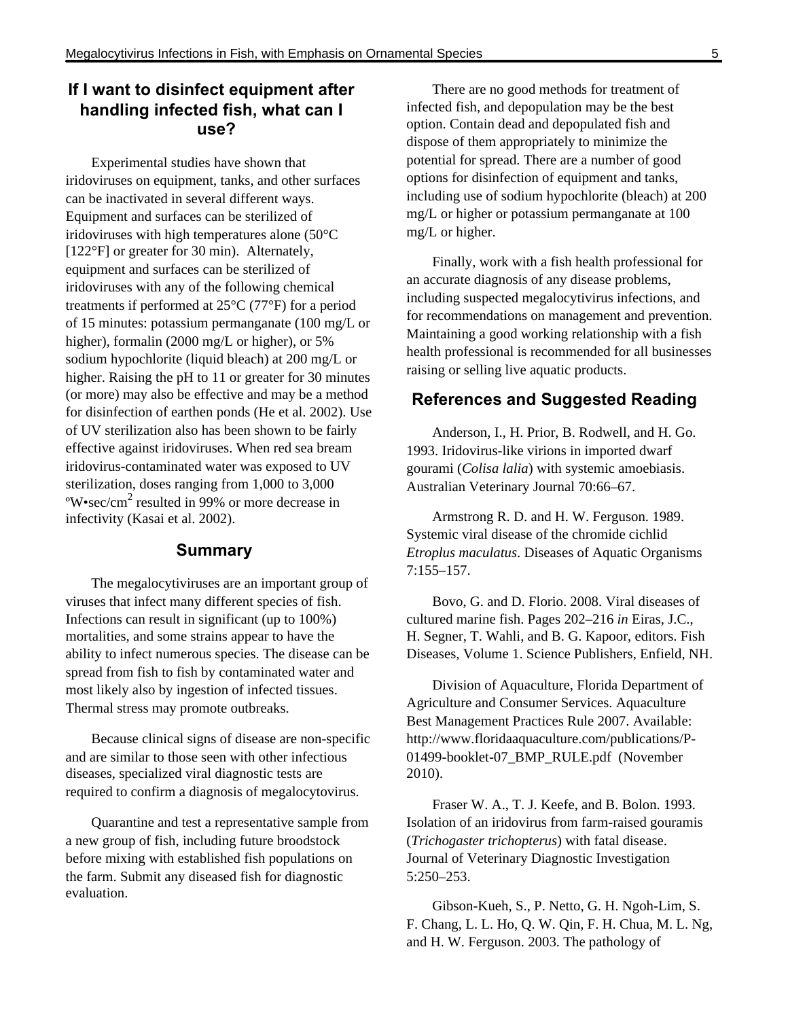# **If I want to disinfect equipment after handling infected fish, what can I use?**

Experimental studies have shown that iridoviruses on equipment, tanks, and other surfaces can be inactivated in several different ways. Equipment and surfaces can be sterilized of iridoviruses with high temperatures alone (50°C [122°F] or greater for 30 min). Alternately, equipment and surfaces can be sterilized of iridoviruses with any of the following chemical treatments if performed at 25°C (77°F) for a period of 15 minutes: potassium permanganate (100 mg/L or higher), formalin (2000 mg/L or higher), or 5% sodium hypochlorite (liquid bleach) at 200 mg/L or higher. Raising the pH to 11 or greater for 30 minutes (or more) may also be effective and may be a method for disinfection of earthen ponds (He et al. 2002). Use of UV sterilization also has been shown to be fairly effective against iridoviruses. When red sea bream iridovirus-contaminated water was exposed to UV sterilization, doses ranging from 1,000 to 3,000  $\degree$ W•sec/cm<sup>2</sup> resulted in 99% or more decrease in infectivity (Kasai et al. 2002).

#### **Summary**

The megalocytiviruses are an important group of viruses that infect many different species of fish. Infections can result in significant (up to 100%) mortalities, and some strains appear to have the ability to infect numerous species. The disease can be spread from fish to fish by contaminated water and most likely also by ingestion of infected tissues. Thermal stress may promote outbreaks.

Because clinical signs of disease are non-specific and are similar to those seen with other infectious diseases, specialized viral diagnostic tests are required to confirm a diagnosis of megalocytovirus.

Quarantine and test a representative sample from a new group of fish, including future broodstock before mixing with established fish populations on the farm. Submit any diseased fish for diagnostic evaluation.

There are no good methods for treatment of infected fish, and depopulation may be the best option. Contain dead and depopulated fish and dispose of them appropriately to minimize the potential for spread. There are a number of good options for disinfection of equipment and tanks, including use of sodium hypochlorite (bleach) at 200 mg/L or higher or potassium permanganate at 100 mg/L or higher.

Finally, work with a fish health professional for an accurate diagnosis of any disease problems, including suspected megalocytivirus infections, and for recommendations on management and prevention. Maintaining a good working relationship with a fish health professional is recommended for all businesses raising or selling live aquatic products.

#### **References and Suggested Reading**

Anderson, I., H. Prior, B. Rodwell, and H. Go. 1993. Iridovirus-like virions in imported dwarf gourami (*Colisa lalia*) with systemic amoebiasis. Australian Veterinary Journal 70:66–67.

Armstrong R. D. and H. W. Ferguson. 1989. Systemic viral disease of the chromide cichlid *Etroplus maculatus*. Diseases of Aquatic Organisms 7:155–157.

Bovo, G. and D. Florio. 2008. Viral diseases of cultured marine fish. Pages 202–216 *in* Eiras, J.C., H. Segner, T. Wahli, and B. G. Kapoor, editors. Fish Diseases, Volume 1. Science Publishers, Enfield, NH.

Division of Aquaculture, Florida Department of Agriculture and Consumer Services. Aquaculture Best Management Practices Rule 2007. Available: http://www.floridaaquaculture.com/publications/P-01499-booklet-07\_BMP\_RULE.pdf (November 2010).

Fraser W. A., T. J. Keefe, and B. Bolon. 1993. Isolation of an iridovirus from farm-raised gouramis (*Trichogaster trichopterus*) with fatal disease. Journal of Veterinary Diagnostic Investigation 5:250–253.

Gibson-Kueh, S., P. Netto, G. H. Ngoh-Lim, S. F. Chang, L. L. Ho, Q. W. Qin, F. H. Chua, M. L. Ng, and H. W. Ferguson. 2003. The pathology of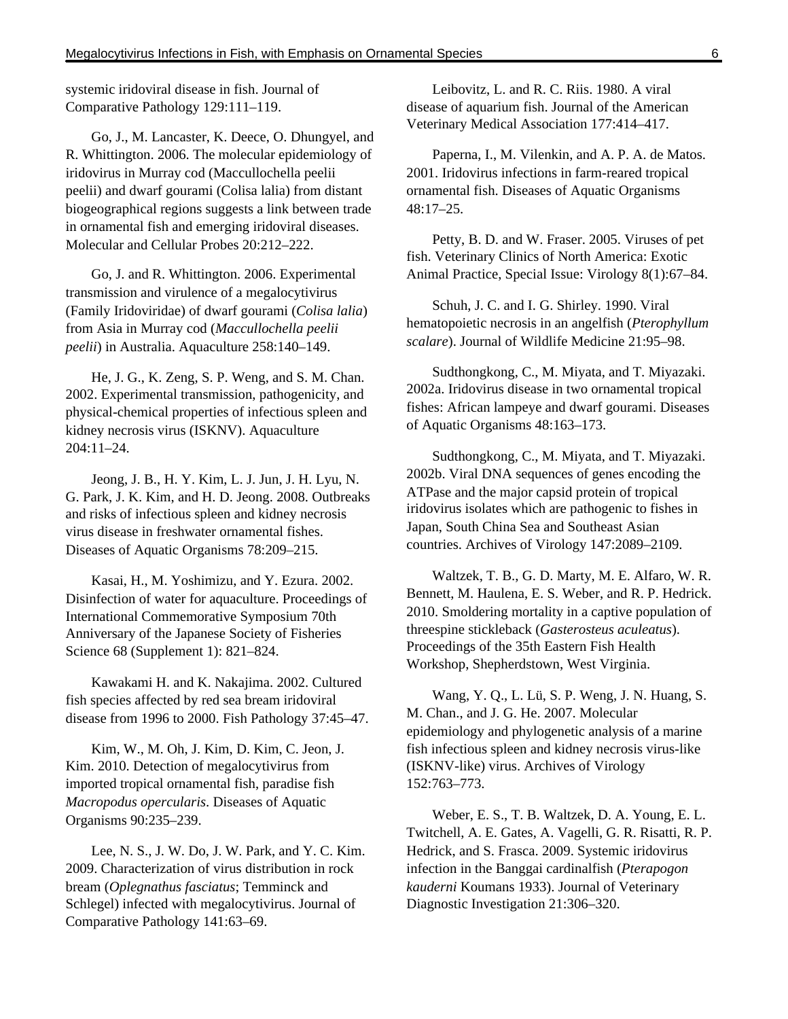systemic iridoviral disease in fish. Journal of Comparative Pathology 129:111–119.

Go, J., M. Lancaster, K. Deece, O. Dhungyel, and R. Whittington. 2006. The molecular epidemiology of iridovirus in Murray cod (Maccullochella peelii peelii) and dwarf gourami (Colisa lalia) from distant biogeographical regions suggests a link between trade in ornamental fish and emerging iridoviral diseases. Molecular and Cellular Probes 20:212–222.

Go, J. and R. Whittington. 2006. Experimental transmission and virulence of a megalocytivirus (Family Iridoviridae) of dwarf gourami (*Colisa lalia*) from Asia in Murray cod (*Maccullochella peelii peelii*) in Australia. Aquaculture 258:140–149.

He, J. G., K. Zeng, S. P. Weng, and S. M. Chan. 2002. Experimental transmission, pathogenicity, and physical-chemical properties of infectious spleen and kidney necrosis virus (ISKNV). Aquaculture 204:11–24.

Jeong, J. B., H. Y. Kim, L. J. Jun, J. H. Lyu, N. G. Park, J. K. Kim, and H. D. Jeong. 2008. Outbreaks and risks of infectious spleen and kidney necrosis virus disease in freshwater ornamental fishes. Diseases of Aquatic Organisms 78:209–215.

Kasai, H., M. Yoshimizu, and Y. Ezura. 2002. Disinfection of water for aquaculture. Proceedings of International Commemorative Symposium 70th Anniversary of the Japanese Society of Fisheries Science 68 (Supplement 1): 821–824.

Kawakami H. and K. Nakajima. 2002. Cultured fish species affected by red sea bream iridoviral disease from 1996 to 2000. Fish Pathology 37:45–47.

Kim, W., M. Oh, J. Kim, D. Kim, C. Jeon, J. Kim. 2010. Detection of megalocytivirus from imported tropical ornamental fish, paradise fish *Macropodus opercularis*. Diseases of Aquatic Organisms 90:235–239.

Lee, N. S., J. W. Do, J. W. Park, and Y. C. Kim. 2009. Characterization of virus distribution in rock bream (*Oplegnathus fasciatus*; Temminck and Schlegel) infected with megalocytivirus. Journal of Comparative Pathology 141:63–69.

Leibovitz, L. and R. C. Riis. 1980. A viral disease of aquarium fish. Journal of the American Veterinary Medical Association 177:414–417.

Paperna, I., M. Vilenkin, and A. P. A. de Matos. 2001. Iridovirus infections in farm-reared tropical ornamental fish. Diseases of Aquatic Organisms 48:17–25.

Petty, B. D. and W. Fraser. 2005. Viruses of pet fish. Veterinary Clinics of North America: Exotic Animal Practice, Special Issue: Virology 8(1):67–84.

Schuh, J. C. and I. G. Shirley. 1990. Viral hematopoietic necrosis in an angelfish (*Pterophyllum scalare*). Journal of Wildlife Medicine 21:95–98.

Sudthongkong, C., M. Miyata, and T. Miyazaki. 2002a. Iridovirus disease in two ornamental tropical fishes: African lampeye and dwarf gourami. Diseases of Aquatic Organisms 48:163–173.

Sudthongkong, C., M. Miyata, and T. Miyazaki. 2002b. Viral DNA sequences of genes encoding the ATPase and the major capsid protein of tropical iridovirus isolates which are pathogenic to fishes in Japan, South China Sea and Southeast Asian countries. Archives of Virology 147:2089–2109.

Waltzek, T. B., G. D. Marty, M. E. Alfaro, W. R. Bennett, M. Haulena, E. S. Weber, and R. P. Hedrick. 2010. Smoldering mortality in a captive population of threespine stickleback (*Gasterosteus aculeatus*). Proceedings of the 35th Eastern Fish Health Workshop, Shepherdstown, West Virginia.

Wang, Y. Q., L. Lü, S. P. Weng, J. N. Huang, S. M. Chan., and J. G. He. 2007. Molecular epidemiology and phylogenetic analysis of a marine fish infectious spleen and kidney necrosis virus-like (ISKNV-like) virus. Archives of Virology 152:763–773.

Weber, E. S., T. B. Waltzek, D. A. Young, E. L. Twitchell, A. E. Gates, A. Vagelli, G. R. Risatti, R. P. Hedrick, and S. Frasca. 2009. Systemic iridovirus infection in the Banggai cardinalfish (*Pterapogon kauderni* Koumans 1933). Journal of Veterinary Diagnostic Investigation 21:306–320.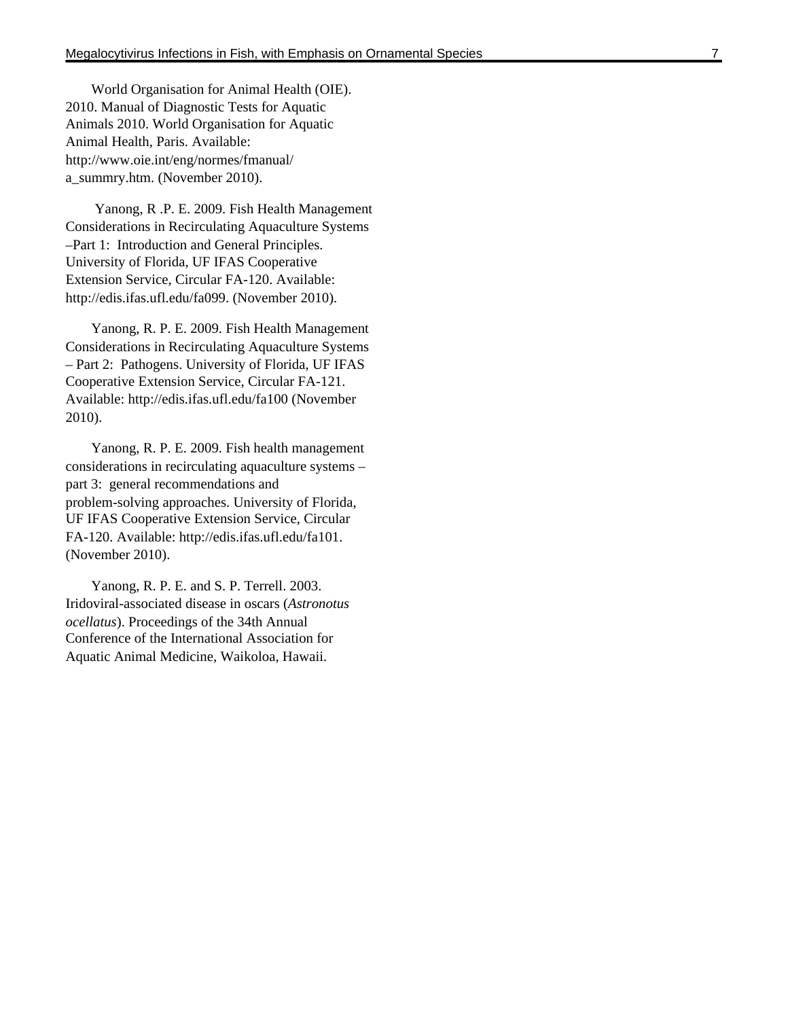World Organisation for Animal Health (OIE). 2010. Manual of Diagnostic Tests for Aquatic Animals 2010. World Organisation for Aquatic Animal Health, Paris. Available: http://www.oie.int/eng/normes/fmanual/ a\_summry.htm. (November 2010).

 Yanong, R .P. E. 2009. Fish Health Management Considerations in Recirculating Aquaculture Systems –Part 1: Introduction and General Principles. University of Florida, UF IFAS Cooperative Extension Service, Circular FA-120. Available: http://edis.ifas.ufl.edu/fa099. (November 2010).

Yanong, R. P. E. 2009. Fish Health Management Considerations in Recirculating Aquaculture Systems – Part 2: Pathogens. University of Florida, UF IFAS Cooperative Extension Service, Circular FA-121. Available: http://edis.ifas.ufl.edu/fa100 (November 2010).

Yanong, R. P. E. 2009. Fish health management considerations in recirculating aquaculture systems – part 3: general recommendations and problem-solving approaches. University of Florida, UF IFAS Cooperative Extension Service, Circular FA-120. Available: http://edis.ifas.ufl.edu/fa101. (November 2010).

Yanong, R. P. E. and S. P. Terrell. 2003. Iridoviral-associated disease in oscars (*Astronotus ocellatus*). Proceedings of the 34th Annual Conference of the International Association for Aquatic Animal Medicine, Waikoloa, Hawaii.